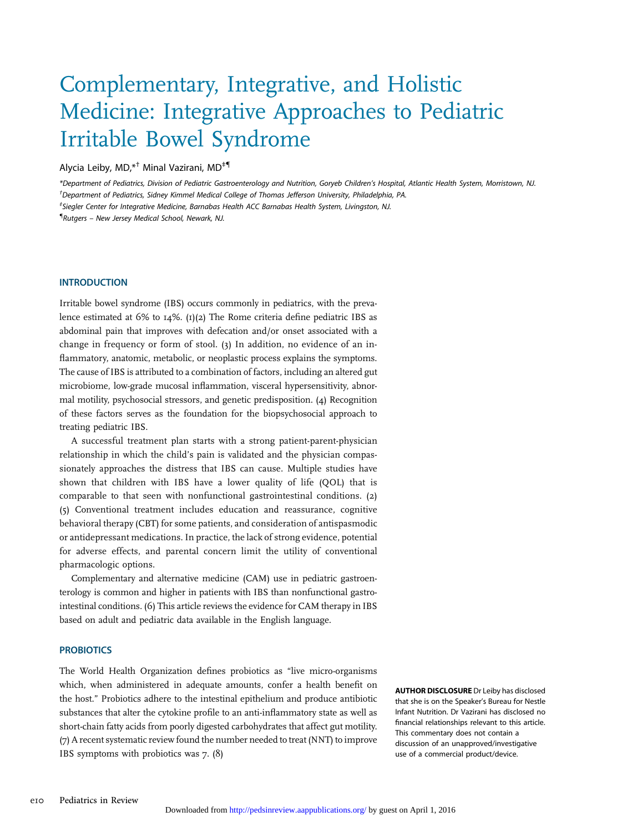# Complementary, Integrative, and Holistic Medicine: Integrative Approaches to Pediatric Irritable Bowel Syndrome

# Alycia Leiby, MD, \*<sup>†</sup> Minal Vazirani, MD<sup>+¶</sup>

\*Department of Pediatrics, Division of Pediatric Gastroenterology and Nutrition, Goryeb Children's Hospital, Atlantic Health System, Morristown, NJ. † Department of Pediatrics, Sidney Kimmel Medical College of Thomas Jefferson University, Philadelphia, PA.

‡ Siegler Center for Integrative Medicine, Barnabas Health ACC Barnabas Health System, Livingston, NJ.

{ Rutgers – New Jersey Medical School, Newark, NJ.

Irritable bowel syndrome (IBS) occurs commonly in pediatrics, with the prevalence estimated at  $6\%$  to  $14\%$ . (1)(2) The Rome criteria define pediatric IBS as abdominal pain that improves with defecation and/or onset associated with a change in frequency or form of stool. (3) In addition, no evidence of an inflammatory, anatomic, metabolic, or neoplastic process explains the symptoms. The cause of IBS is attributed to a combination of factors, including an altered gut microbiome, low-grade mucosal inflammation, visceral hypersensitivity, abnormal motility, psychosocial stressors, and genetic predisposition. (4) Recognition of these factors serves as the foundation for the biopsychosocial approach to treating pediatric IBS.

A successful treatment plan starts with a strong patient-parent-physician relationship in which the child's pain is validated and the physician compassionately approaches the distress that IBS can cause. Multiple studies have shown that children with IBS have a lower quality of life (QOL) that is comparable to that seen with nonfunctional gastrointestinal conditions. (2) (5) Conventional treatment includes education and reassurance, cognitive behavioral therapy (CBT) for some patients, and consideration of antispasmodic or antidepressant medications. In practice, the lack of strong evidence, potential for adverse effects, and parental concern limit the utility of conventional pharmacologic options.

Complementary and alternative medicine (CAM) use in pediatric gastroenterology is common and higher in patients with IBS than nonfunctional gastrointestinal conditions. (6) This article reviews the evidence for CAM therapy in IBS based on adult and pediatric data available in the English language.

### **PROBIOTICS**

The World Health Organization defines probiotics as "live micro-organisms which, when administered in adequate amounts, confer a health benefit on the host." Probiotics adhere to the intestinal epithelium and produce antibiotic substances that alter the cytokine profile to an anti-inflammatory state as well as short-chain fatty acids from poorly digested carbohydrates that affect gut motility. (7) A recent systematic review found the number needed to treat (NNT) to improve IBS symptoms with probiotics was 7. (8)

AUTHOR DISCLOSURE Dr Leiby has disclosed that she is on the Speaker's Bureau for Nestle Infant Nutrition. Dr Vazirani has disclosed no financial relationships relevant to this article. This commentary does not contain a discussion of an unapproved/investigative use of a commercial product/device.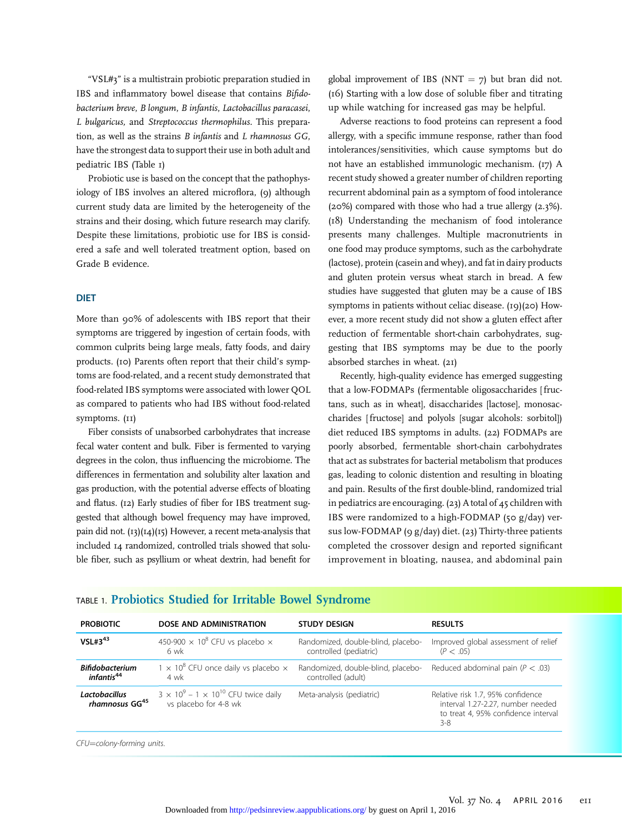"VSL#3" is a multistrain probiotic preparation studied in IBS and inflammatory bowel disease that contains Bifidobacterium breve, B longum, B infantis, Lactobacillus paracasei, L bulgaricus, and Streptococcus thermophilus. This preparation, as well as the strains B infantis and L rhamnosus GG, have the strongest data to support their use in both adult and pediatric IBS (Table 1)

Probiotic use is based on the concept that the pathophysiology of IBS involves an altered microflora, (9) although current study data are limited by the heterogeneity of the strains and their dosing, which future research may clarify. Despite these limitations, probiotic use for IBS is considered a safe and well tolerated treatment option, based on Grade B evidence.

#### **DIET**

More than 90% of adolescents with IBS report that their symptoms are triggered by ingestion of certain foods, with common culprits being large meals, fatty foods, and dairy products. (10) Parents often report that their child's symptoms are food-related, and a recent study demonstrated that food-related IBS symptoms were associated with lower QOL as compared to patients who had IBS without food-related symptoms. (11)

Fiber consists of unabsorbed carbohydrates that increase fecal water content and bulk. Fiber is fermented to varying degrees in the colon, thus influencing the microbiome. The differences in fermentation and solubility alter laxation and gas production, with the potential adverse effects of bloating and flatus. (12) Early studies of fiber for IBS treatment suggested that although bowel frequency may have improved, pain did not.  $(13)(14)(15)$  However, a recent meta-analysis that included 14 randomized, controlled trials showed that soluble fiber, such as psyllium or wheat dextrin, had benefit for

global improvement of IBS (NNT =  $7$ ) but bran did not. (16) Starting with a low dose of soluble fiber and titrating up while watching for increased gas may be helpful.

Adverse reactions to food proteins can represent a food allergy, with a specific immune response, rather than food intolerances/sensitivities, which cause symptoms but do not have an established immunologic mechanism. (17) A recent study showed a greater number of children reporting recurrent abdominal pain as a symptom of food intolerance (20%) compared with those who had a true allergy (2.3%). (18) Understanding the mechanism of food intolerance presents many challenges. Multiple macronutrients in one food may produce symptoms, such as the carbohydrate (lactose), protein (casein and whey), and fat in dairy products and gluten protein versus wheat starch in bread. A few studies have suggested that gluten may be a cause of IBS symptoms in patients without celiac disease. (19)(20) However, a more recent study did not show a gluten effect after reduction of fermentable short-chain carbohydrates, suggesting that IBS symptoms may be due to the poorly absorbed starches in wheat. (21)

Recently, high-quality evidence has emerged suggesting that a low-FODMAPs (fermentable oligosaccharides [fructans, such as in wheat], disaccharides [lactose], monosaccharides [ fructose] and polyols [sugar alcohols: sorbitol]) diet reduced IBS symptoms in adults. (22) FODMAPs are poorly absorbed, fermentable short-chain carbohydrates that act as substrates for bacterial metabolism that produces gas, leading to colonic distention and resulting in bloating and pain. Results of the first double-blind, randomized trial in pediatrics are encouraging. (23) Atotal of 45 children with IBS were randomized to a high-FODMAP (50 g/day) versus low-FODMAP (9 g/day) diet. (23) Thirty-three patients completed the crossover design and reported significant improvement in bloating, nausea, and abdominal pain

| <b>PROBIOTIC</b>                                 | DOSE AND ADMINISTRATION                                                     | <b>STUDY DESIGN</b>                                          | <b>RESULTS</b>                                                                                                           |
|--------------------------------------------------|-----------------------------------------------------------------------------|--------------------------------------------------------------|--------------------------------------------------------------------------------------------------------------------------|
| $VSL#3^{43}$                                     | 450-900 $\times$ 10 <sup>8</sup> CFU vs placebo $\times$<br>6 wk            | Randomized, double-blind, placebo-<br>controlled (pediatric) | Improved global assessment of relief<br>(P < .05)                                                                        |
| <b>Bifidobacterium</b><br>infantis <sup>44</sup> | $1 \times 10^8$ CFU once daily vs placebo $\times$<br>4 wk                  | Randomized, double-blind, placebo-<br>controlled (adult)     | Reduced abdominal pain ( $P < .03$ )                                                                                     |
| Lactobacillus<br>rhamnosus GG <sup>45</sup>      | $3 \times 10^9 - 1 \times 10^{10}$ CFU twice daily<br>vs placebo for 4-8 wk | Meta-analysis (pediatric)                                    | Relative risk 1.7, 95% confidence<br>interval 1.27-2.27, number needed<br>to treat 4, 95% confidence interval<br>$3 - 8$ |

## TABLE 1. Probiotics Studied for Irritable Bowel Syndrome

CFU=colony-forming units.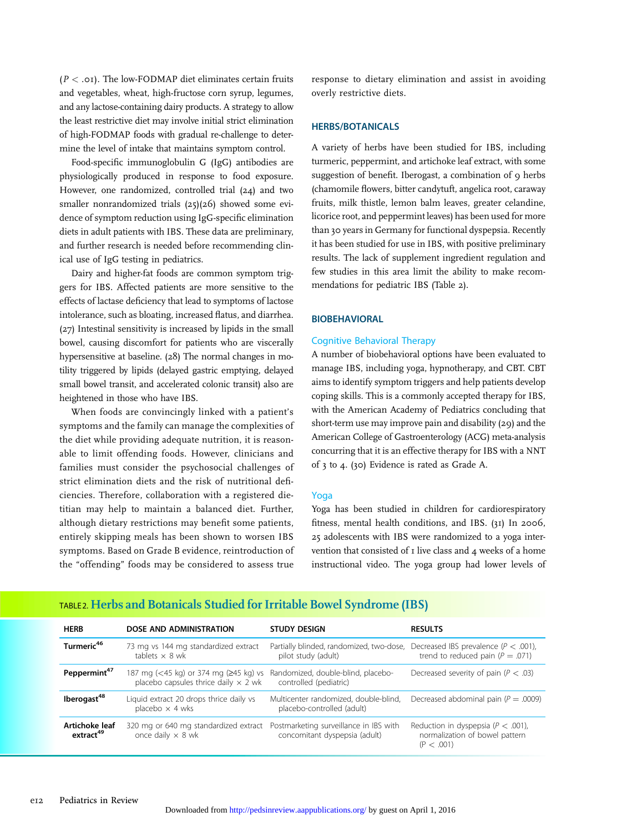$(P < .01)$ . The low-FODMAP diet eliminates certain fruits and vegetables, wheat, high-fructose corn syrup, legumes, and any lactose-containing dairy products. A strategy to allow the least restrictive diet may involve initial strict elimination of high-FODMAP foods with gradual re-challenge to determine the level of intake that maintains symptom control.

Food-specific immunoglobulin G (IgG) antibodies are physiologically produced in response to food exposure. However, one randomized, controlled trial (24) and two smaller nonrandomized trials (25)(26) showed some evidence of symptom reduction using IgG-specific elimination diets in adult patients with IBS. These data are preliminary, and further research is needed before recommending clinical use of IgG testing in pediatrics.

Dairy and higher-fat foods are common symptom triggers for IBS. Affected patients are more sensitive to the effects of lactase deficiency that lead to symptoms of lactose intolerance, such as bloating, increased flatus, and diarrhea. (27) Intestinal sensitivity is increased by lipids in the small bowel, causing discomfort for patients who are viscerally hypersensitive at baseline. (28) The normal changes in motility triggered by lipids (delayed gastric emptying, delayed small bowel transit, and accelerated colonic transit) also are heightened in those who have IBS.

When foods are convincingly linked with a patient's symptoms and the family can manage the complexities of the diet while providing adequate nutrition, it is reasonable to limit offending foods. However, clinicians and families must consider the psychosocial challenges of strict elimination diets and the risk of nutritional deficiencies. Therefore, collaboration with a registered dietitian may help to maintain a balanced diet. Further, although dietary restrictions may benefit some patients, entirely skipping meals has been shown to worsen IBS symptoms. Based on Grade B evidence, reintroduction of the "offending" foods may be considered to assess true

response to dietary elimination and assist in avoiding overly restrictive diets.

#### **HERBS/BOTANICALS** HERBS/BOTANICALS

A variety of herbs have been studied for IBS, including turmeric, peppermint, and artichoke leaf extract, with some suggestion of benefit. Iberogast, a combination of 9 herbs (chamomile flowers, bitter candytuft, angelica root, caraway fruits, milk thistle, lemon balm leaves, greater celandine, licorice root, and peppermint leaves) has been used for more than 30 years in Germany for functional dyspepsia. Recently it has been studied for use in IBS, with positive preliminary results. The lack of supplement ingredient regulation and few studies in this area limit the ability to make recommendations for pediatric IBS (Table 2).

### **BIOBEHAVIORAL**

#### Cognitive Behavioral Therapy

A number of biobehavioral options have been evaluated to manage IBS, including yoga, hypnotherapy, and CBT. CBT aims to identify symptom triggers and help patients develop coping skills. This is a commonly accepted therapy for IBS, with the American Academy of Pediatrics concluding that short-term use may improve pain and disability (29) and the American College of Gastroenterology (ACG) meta-analysis concurring that it is an effective therapy for IBS with a NNT of 3 to 4. (30) Evidence is rated as Grade A.

#### Yoga

Yoga has been studied in children for cardiorespiratory fitness, mental health conditions, and IBS. (31) In 2006, 25 adolescents with IBS were randomized to a yoga intervention that consisted of 1 live class and 4 weeks of a home instructional video. The yoga group had lower levels of

| <b>HERB</b>                             | DOSE AND ADMINISTRATION                                                              | <b>STUDY DESIGN</b>                                                                                      | <b>RESULTS</b>                                                                         |
|-----------------------------------------|--------------------------------------------------------------------------------------|----------------------------------------------------------------------------------------------------------|----------------------------------------------------------------------------------------|
| Turmeric <sup>46</sup>                  | 73 mg vs 144 mg standardized extract<br>tablets $\times$ 8 wk                        | Partially blinded, randomized, two-dose, Decreased IBS prevalence ( $P < .001$ ),<br>pilot study (adult) | trend to reduced pain ( $P = .071$ )                                                   |
| Peppermint <sup>47</sup>                | 187 mg (<45 kg) or 374 mg (≥45 kg) vs<br>placebo capsules thrice daily $\times$ 2 wk | Randomized, double-blind, placebo-<br>controlled (pediatric)                                             | Decreased severity of pain ( $P < .03$ )                                               |
| lberogast <sup>48</sup>                 | Liquid extract 20 drops thrice daily vs<br>placebo $\times$ 4 wks                    | Multicenter randomized, double-blind,<br>placebo-controlled (adult)                                      | Decreased abdominal pain ( $P = .0009$ )                                               |
| Artichoke leaf<br>extract <sup>49</sup> | 320 mg or 640 mg standardized extract<br>once daily $\times$ 8 wk                    | Postmarketing surveillance in IBS with<br>concomitant dyspepsia (adult)                                  | Reduction in dyspepsia ( $P < .001$ ),<br>normalization of bowel pattern<br>(P < .001) |

# TABLE 2. Herbs and Botanicals Studied for Irritable Bowel Syndrome (IBS)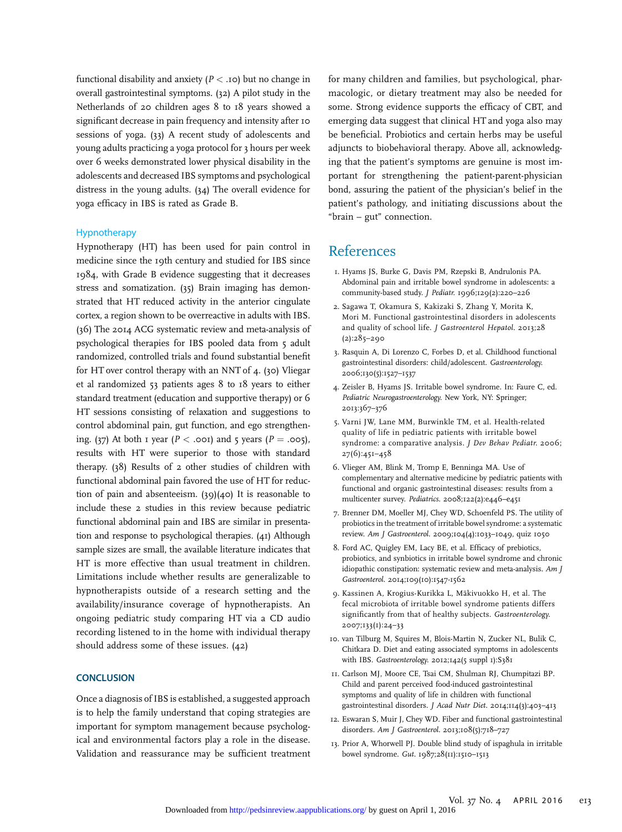functional disability and anxiety ( $P <$  .10) but no change in overall gastrointestinal symptoms. (32) A pilot study in the Netherlands of 20 children ages 8 to 18 years showed a significant decrease in pain frequency and intensity after 10 sessions of yoga. (33) A recent study of adolescents and young adults practicing a yoga protocol for 3 hours per week over 6 weeks demonstrated lower physical disability in the adolescents and decreased IBS symptoms and psychological distress in the young adults. (34) The overall evidence for yoga efficacy in IBS is rated as Grade B.

#### Hypnotherapy

Hypnotherapy (HT) has been used for pain control in medicine since the 19th century and studied for IBS since 1984, with Grade B evidence suggesting that it decreases stress and somatization. (35) Brain imaging has demonstrated that HT reduced activity in the anterior cingulate cortex, a region shown to be overreactive in adults with IBS. (36) The 2014 ACG systematic review and meta-analysis of psychological therapies for IBS pooled data from 5 adult randomized, controlled trials and found substantial benefit for HT over control therapy with an NNT of 4. (30) Vliegar et al randomized 53 patients ages 8 to 18 years to either standard treatment (education and supportive therapy) or 6 HT sessions consisting of relaxation and suggestions to control abdominal pain, gut function, and ego strengthening. (37) At both 1 year ( $P < .001$ ) and 5 years ( $P = .005$ ), results with HT were superior to those with standard therapy. (38) Results of 2 other studies of children with functional abdominal pain favored the use of HT for reduction of pain and absenteeism. (39)(40) It is reasonable to include these 2 studies in this review because pediatric functional abdominal pain and IBS are similar in presentation and response to psychological therapies. (41) Although sample sizes are small, the available literature indicates that HT is more effective than usual treatment in children. Limitations include whether results are generalizable to hypnotherapists outside of a research setting and the availability/insurance coverage of hypnotherapists. An ongoing pediatric study comparing HT via a CD audio recording listened to in the home with individual therapy should address some of these issues. (42)

Once a diagnosis of IBS is established, a suggested approach is to help the family understand that coping strategies are important for symptom management because psychological and environmental factors play a role in the disease. Validation and reassurance may be sufficient treatment for many children and families, but psychological, pharmacologic, or dietary treatment may also be needed for some. Strong evidence supports the efficacy of CBT, and emerging data suggest that clinical HT and yoga also may be beneficial. Probiotics and certain herbs may be useful adjuncts to biobehavioral therapy. Above all, acknowledging that the patient's symptoms are genuine is most important for strengthening the patient-parent-physician bond, assuring the patient of the physician's belief in the patient's pathology, and initiating discussions about the "brain – gut" connection.

# References

- 1. Hyams JS, Burke G, Davis PM, Rzepski B, Andrulonis PA. Abdominal pain and irritable bowel syndrome in adolescents: a community-based study. J Pediatr. 1996;129(2):220–226
- 2. Sagawa T, Okamura S, Kakizaki S, Zhang Y, Morita K, Mori M. Functional gastrointestinal disorders in adolescents and quality of school life. J Gastroenterol Hepatol. 2013;28 (2):285–290
- 3. Rasquin A, Di Lorenzo C, Forbes D, et al. Childhood functional gastrointestinal disorders: child/adolescent. Gastroenterology. 2006;130(5):1527–1537
- 4. Zeisler B, Hyams JS. Irritable bowel syndrome. In: Faure C, ed. Pediatric Neurogastroenterology. New York, NY: Springer; 2013:367–376
- 5. Varni JW, Lane MM, Burwinkle TM, et al. Health-related quality of life in pediatric patients with irritable bowel syndrome: a comparative analysis. J Dev Behav Pediatr. 2006; 27(6):451–458
- 6. Vlieger AM, Blink M, Tromp E, Benninga MA. Use of complementary and alternative medicine by pediatric patients with functional and organic gastrointestinal diseases: results from a multicenter survey. Pediatrics. 2008;122(2):e446–e451
- 7. Brenner DM, Moeller MJ, Chey WD, Schoenfeld PS. The utility of probiotics in the treatment of irritable bowel syndrome: a systematic review. Am J Gastroenterol. 2009;104(4):1033–1049, quiz 1050
- 8. Ford AC, Quigley EM, Lacy BE, et al. Efficacy of prebiotics, probiotics, and synbiotics in irritable bowel syndrome and chronic idiopathic constipation: systematic review and meta-analysis. Am J Gastroenterol. 2014;109(10):1547-1562
- 9. Kassinen A, Krogius-Kurikka L, Mäkivuokko H, et al. The fecal microbiota of irritable bowel syndrome patients differs significantly from that of healthy subjects. Gastroenterology. 2007;133(1):24–33
- 10. van Tilburg M, Squires M, Blois-Martin N, Zucker NL, Bulik C, Chitkara D. Diet and eating associated symptoms in adolescents with IBS. Gastroenterology. 2012;142(5 suppl 1):S381
- 11. Carlson MJ, Moore CE, Tsai CM, Shulman RJ, Chumpitazi BP. Child and parent perceived food-induced gastrointestinal symptoms and quality of life in children with functional gastrointestinal disorders. J Acad Nutr Diet. 2014;114(3):403–413
- 12. Eswaran S, Muir J, Chey WD. Fiber and functional gastrointestinal disorders. Am J Gastroenterol. 2013;108(5):718-727
- 13. Prior A, Whorwell PJ. Double blind study of ispaghula in irritable bowel syndrome. Gut. 1987;28(11):1510–1513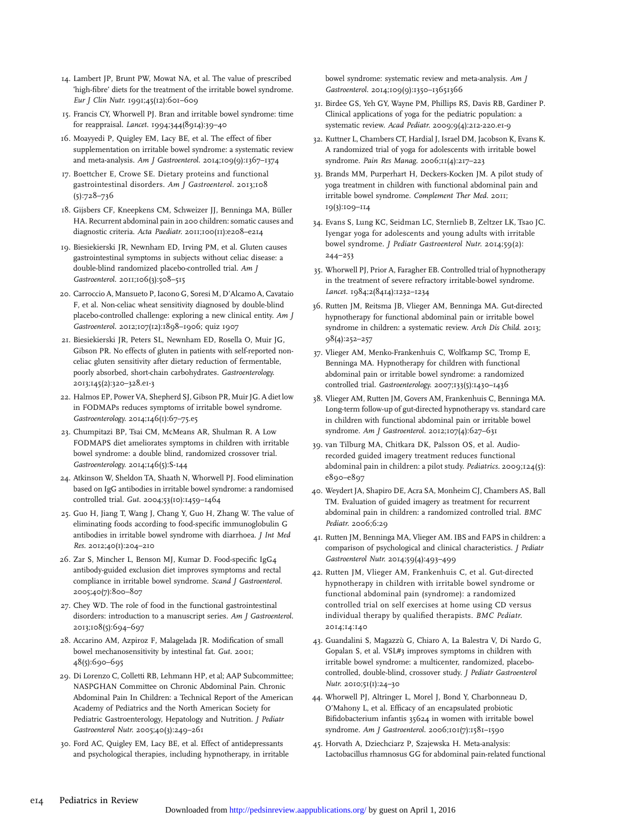- 14. Lambert JP, Brunt PW, Mowat NA, et al. The value of prescribed 'high-fibre' diets for the treatment of the irritable bowel syndrome. Eur J Clin Nutr. 1991;45(12):601–609
- 15. Francis CY, Whorwell PJ. Bran and irritable bowel syndrome: time for reappraisal. Lancet. 1994;344(8914):39–40
- 16. Moayyedi P, Quigley EM, Lacy BE, et al. The effect of fiber supplementation on irritable bowel syndrome: a systematic review and meta-analysis. Am J Gastroenterol. 2014;109(9):1367–1374
- 17. Boettcher E, Crowe SE. Dietary proteins and functional gastrointestinal disorders. Am J Gastroenterol. 2013;108 (5):728–736
- 18. Gijsbers CF, Kneepkens CM, Schweizer JJ, Benninga MA, Büller HA. Recurrent abdominal pain in 200 children: somatic causes and diagnostic criteria. Acta Paediatr. 2011;100(11):e208–e214
- 19. Biesiekierski JR, Newnham ED, Irving PM, et al. Gluten causes gastrointestinal symptoms in subjects without celiac disease: a double-blind randomized placebo-controlled trial. Am J Gastroenterol. 2011;106(3):508-515
- 20. Carroccio A, Mansueto P, Iacono G, Soresi M, D'Alcamo A, Cavataio F, et al. Non-celiac wheat sensitivity diagnosed by double-blind placebo-controlled challenge: exploring a new clinical entity. Am J Gastroenterol. 2012;107(12):1898–1906; quiz 1907
- 21. Biesiekierski JR, Peters SL, Newnham ED, Rosella O, Muir JG, Gibson PR. No effects of gluten in patients with self-reported nonceliac gluten sensitivity after dietary reduction of fermentable, poorly absorbed, short-chain carbohydrates. Gastroenterology. 2013;145(2):320–328.e1-3
- 22. Halmos EP, Power VA, Shepherd SJ, Gibson PR, Muir JG. A diet low in FODMAPs reduces symptoms of irritable bowel syndrome. Gastroenterology. 2014;146(1):67–75.e5
- 23. Chumpitazi BP, Tsai CM, McMeans AR, Shulman R. A Low FODMAPS diet ameliorates symptoms in children with irritable bowel syndrome: a double blind, randomized crossover trial. Gastroenterology. 2014;146(5):S-144
- 24. Atkinson W, Sheldon TA, Shaath N, Whorwell PJ. Food elimination based on IgG antibodies in irritable bowel syndrome: a randomised controlled trial. Gut. 2004;53(10):1459–1464
- 25. Guo H, Jiang T, Wang J, Chang Y, Guo H, Zhang W. The value of eliminating foods according to food-specific immunoglobulin G antibodies in irritable bowel syndrome with diarrhoea. J Int Med Res. 2012;40(1):204–210
- 26. Zar S, Mincher L, Benson MJ, Kumar D. Food-specific IgG4 antibody-guided exclusion diet improves symptoms and rectal compliance in irritable bowel syndrome. Scand J Gastroenterol. 2005;40(7):800–807
- 27. Chey WD. The role of food in the functional gastrointestinal disorders: introduction to a manuscript series. Am J Gastroenterol. 2013;108(5):694–697
- 28. Accarino AM, Azpiroz F, Malagelada JR. Modification of small bowel mechanosensitivity by intestinal fat. Gut. 2001; 48(5):690–695
- 29. Di Lorenzo C, Colletti RB, Lehmann HP, et al; AAP Subcommittee; NASPGHAN Committee on Chronic Abdominal Pain. Chronic Abdominal Pain In Children: a Technical Report of the American Academy of Pediatrics and the North American Society for Pediatric Gastroenterology, Hepatology and Nutrition. J Pediatr Gastroenterol Nutr. 2005;40(3):249–261
- 30. Ford AC, Quigley EM, Lacy BE, et al. Effect of antidepressants and psychological therapies, including hypnotherapy, in irritable

bowel syndrome: systematic review and meta-analysis. Am J Gastroenterol. 2014;109(9):1350–13651366

- 31. Birdee GS, Yeh GY, Wayne PM, Phillips RS, Davis RB, Gardiner P. Clinical applications of yoga for the pediatric population: a systematic review. Acad Pediatr. 2009;9(4):212-220.e1-9
- 32. Kuttner L, Chambers CT, Hardial J, Israel DM, Jacobson K, Evans K. A randomized trial of yoga for adolescents with irritable bowel syndrome. Pain Res Manag. 2006;11(4):217–223
- 33. Brands MM, Purperhart H, Deckers-Kocken JM. A pilot study of yoga treatment in children with functional abdominal pain and irritable bowel syndrome. Complement Ther Med. 2011; 19(3):109–114
- 34. Evans S, Lung KC, Seidman LC, Sternlieb B, Zeltzer LK, Tsao JC. Iyengar yoga for adolescents and young adults with irritable bowel syndrome. J Pediatr Gastroenterol Nutr. 2014;59(2):  $244 - 253$
- 35. Whorwell PJ, Prior A, Faragher EB. Controlled trial of hypnotherapy in the treatment of severe refractory irritable-bowel syndrome. Lancet. 1984;2(8414):1232–1234
- 36. Rutten JM, Reitsma JB, Vlieger AM, Benninga MA. Gut-directed hypnotherapy for functional abdominal pain or irritable bowel syndrome in children: a systematic review. Arch Dis Child. 2013; 98(4):252–257
- 37. Vlieger AM, Menko-Frankenhuis C, Wolfkamp SC, Tromp E, Benninga MA. Hypnotherapy for children with functional abdominal pain or irritable bowel syndrome: a randomized controlled trial. Gastroenterology. 2007;133(5):1430–1436
- 38. Vlieger AM, Rutten JM, Govers AM, Frankenhuis C, Benninga MA. Long-term follow-up of gut-directed hypnotherapy vs. standard care in children with functional abdominal pain or irritable bowel syndrome. Am J Gastroenterol. 2012;107(4):627–631
- 39. van Tilburg MA, Chitkara DK, Palsson OS, et al. Audiorecorded guided imagery treatment reduces functional abdominal pain in children: a pilot study. Pediatrics. 2009;124(5): e890–e897
- 40. Weydert JA, Shapiro DE, Acra SA, Monheim CJ, Chambers AS, Ball TM. Evaluation of guided imagery as treatment for recurrent abdominal pain in children: a randomized controlled trial. BMC Pediatr. 2006;6:29
- 41. Rutten JM, Benninga MA, Vlieger AM. IBS and FAPS in children: a comparison of psychological and clinical characteristics. J Pediatr Gastroenterol Nutr. 2014;59(4):493–499
- 42. Rutten JM, Vlieger AM, Frankenhuis C, et al. Gut-directed hypnotherapy in children with irritable bowel syndrome or functional abdominal pain (syndrome): a randomized controlled trial on self exercises at home using CD versus individual therapy by qualified therapists. BMC Pediatr. 2014;14:140
- 43. Guandalini S, Magazzù G, Chiaro A, La Balestra V, Di Nardo G, Gopalan S, et al. VSL#3 improves symptoms in children with irritable bowel syndrome: a multicenter, randomized, placebocontrolled, double-blind, crossover study. J Pediatr Gastroenterol Nutr. 2010;51(1):24–30
- 44. Whorwell PJ, Altringer L, Morel J, Bond Y, Charbonneau D, O'Mahony L, et al. Efficacy of an encapsulated probiotic Bifidobacterium infantis 35624 in women with irritable bowel syndrome. Am J Gastroenterol. 2006;101(7):1581-1590
- 45. Horvath A, Dziechciarz P, Szajewska H. Meta-analysis: Lactobacillus rhamnosus GG for abdominal pain-related functional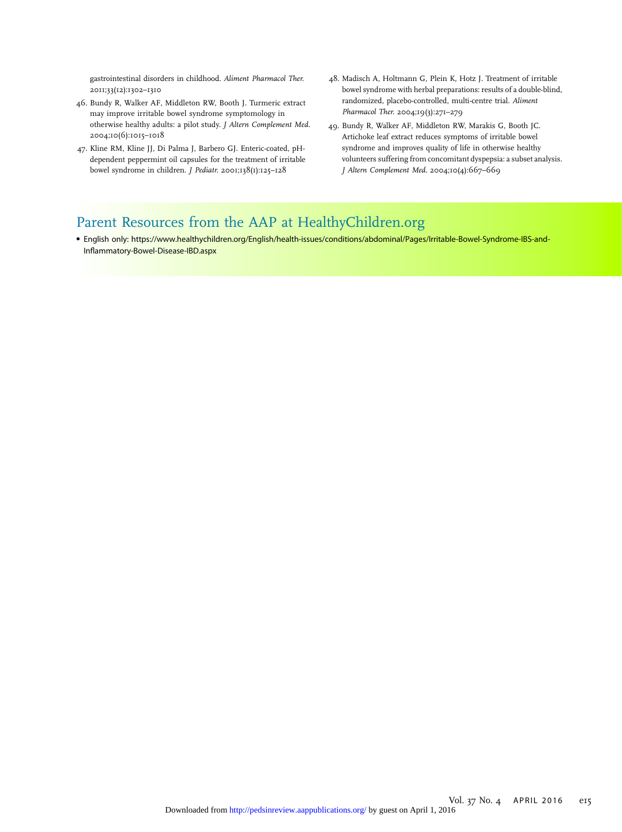gastrointestinal disorders in childhood. Aliment Pharmacol Ther. 2011;33(12):1302–1310

- 46. Bundy R, Walker AF, Middleton RW, Booth J. Turmeric extract may improve irritable bowel syndrome symptomology in otherwise healthy adults: a pilot study. J Altern Complement Med. 2004;10(6):1015–1018
- 47. Kline RM, Kline JJ, Di Palma J, Barbero GJ. Enteric-coated, pHdependent peppermint oil capsules for the treatment of irritable bowel syndrome in children. J Pediatr. 2001;138(1):125–128
- 48. Madisch A, Holtmann G, Plein K, Hotz J. Treatment of irritable bowel syndrome with herbal preparations: results of a double-blind, randomized, placebo-controlled, multi-centre trial. Aliment Pharmacol Ther. 2004;19(3):271–279
- 49. Bundy R, Walker AF, Middleton RW, Marakis G, Booth JC. Artichoke leaf extract reduces symptoms of irritable bowel syndrome and improves quality of life in otherwise healthy volunteers suffering from concomitant dyspepsia: a subset analysis. J Altern Complement Med. 2004;10(4):667–669

# Parent Resources from the AAP at [HealthyChildren.org](http://HealthyChildren.org)

• English only: [https://www.healthychildren.org/English/health-issues/conditions/abdominal/Pages/Irritable-Bowel-Syndrome-IBS-and-](https://www.healthychildren.org/English/health-issues/conditions/abdominal/Pages/Irritable-Bowel-Syndrome-IBS-and-Inflammatory-Bowel-Disease-IBD.aspx)Infl[ammatory-Bowel-Disease-IBD.aspx](https://www.healthychildren.org/English/health-issues/conditions/abdominal/Pages/Irritable-Bowel-Syndrome-IBS-and-Inflammatory-Bowel-Disease-IBD.aspx)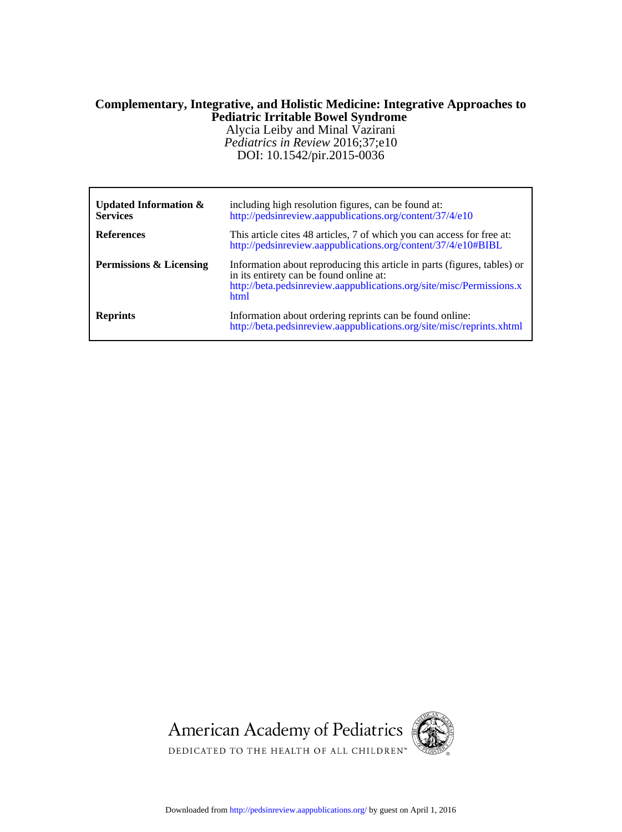# **Pediatric Irritable Bowel Syndrome Complementary, Integrative, and Holistic Medicine: Integrative Approaches to**

DOI: 10.1542/pir.2015-0036 *Pediatrics in Review* 2016;37;e10 Alycia Leiby and Minal Vazirani

| Updated Information $\&$<br><b>Services</b> | including high resolution figures, can be found at:<br>http://pedsinreview.aappublications.org/content/37/4/e10                                                                                     |
|---------------------------------------------|-----------------------------------------------------------------------------------------------------------------------------------------------------------------------------------------------------|
| <b>References</b>                           | This article cites 48 articles, 7 of which you can access for free at:<br>http://pedsinreview.aappublications.org/content/37/4/e10#BIBL                                                             |
| Permissions & Licensing                     | Information about reproducing this article in parts (figures, tables) or<br>in its entirety can be found online at:<br>http://beta.pedsinreview.aappublications.org/site/misc/Permissions.x<br>html |
| <b>Reprints</b>                             | Information about ordering reprints can be found online:<br>http://beta.pedsinreview.aappublications.org/site/misc/reprints.xhtml                                                                   |